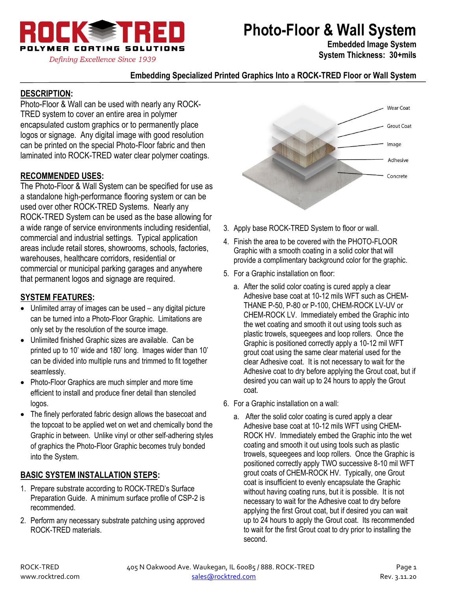

# **Photo-Floor & Wall System**

**Embedded Image System System Thickness: 30+mils**

#### **Embedding Specialized Printed Graphics Into a ROCK-TRED Floor or Wall System**

### **DESCRIPTION:**

Photo-Floor & Wall can be used with nearly any ROCK-TRED system to cover an entire area in polymer encapsulated custom graphics or to permanently place logos or signage. Any digital image with good resolution can be printed on the special Photo-Floor fabric and then laminated into ROCK-TRED water clear polymer coatings.

#### **RECOMMENDED USES:**

The Photo-Floor & Wall System can be specified for use as a standalone high-performance flooring system or can be used over other ROCK-TRED Systems. Nearly any ROCK-TRED System can be used as the base allowing for a wide range of service environments including residential, commercial and industrial settings. Typical application areas include retail stores, showrooms, schools, factories, warehouses, healthcare corridors, residential or commercial or municipal parking garages and anywhere that permanent logos and signage are required.

#### **SYSTEM FEATURES:**

- Unlimited array of images can be used any digital picture can be turned into a Photo-Floor Graphic. Limitations are only set by the resolution of the source image.
- Unlimited finished Graphic sizes are available. Can be printed up to 10' wide and 180' long. Images wider than 10' can be divided into multiple runs and trimmed to fit together seamlessly.
- Photo-Floor Graphics are much simpler and more time efficient to install and produce finer detail than stenciled logos.
- The finely perforated fabric design allows the basecoat and the topcoat to be applied wet on wet and chemically bond the Graphic in between. Unlike vinyl or other self-adhering styles of graphics the Photo-Floor Graphic becomes truly bonded into the System.

#### **BASIC SYSTEM INSTALLATION STEPS:**

- 1. Prepare substrate according to ROCK-TRED's Surface Preparation Guide. A minimum surface profile of CSP-2 is recommended.
- 2. Perform any necessary substrate patching using approved ROCK-TRED materials.



- 3. Apply base ROCK-TRED System to floor or wall.
- 4. Finish the area to be covered with the PHOTO-FLOOR Graphic with a smooth coating in a solid color that will provide a complimentary background color for the graphic.
- 5. For a Graphic installation on floor:
	- a. After the solid color coating is cured apply a clear Adhesive base coat at 10-12 mils WFT such as CHEM-THANE P-50, P-80 or P-100, CHEM-ROCK LV-UV or CHEM-ROCK LV. Immediately embed the Graphic into the wet coating and smooth it out using tools such as plastic trowels, squeegees and loop rollers. Once the Graphic is positioned correctly apply a 10-12 mil WFT grout coat using the same clear material used for the clear Adhesive coat. It is not necessary to wait for the Adhesive coat to dry before applying the Grout coat, but if desired you can wait up to 24 hours to apply the Grout coat.
- 6. For a Graphic installation on a wall:
	- a. After the solid color coating is cured apply a clear Adhesive base coat at 10-12 mils WFT using CHEM-ROCK HV. Immediately embed the Graphic into the wet coating and smooth it out using tools such as plastic trowels, squeegees and loop rollers. Once the Graphic is positioned correctly apply TWO successive 8-10 mil WFT grout coats of CHEM-ROCK HV. Typically, one Grout coat is insufficient to evenly encapsulate the Graphic without having coating runs, but it is possible. It is not necessary to wait for the Adhesive coat to dry before applying the first Grout coat, but if desired you can wait up to 24 hours to apply the Grout coat. Its recommended to wait for the first Grout coat to dry prior to installing the second.